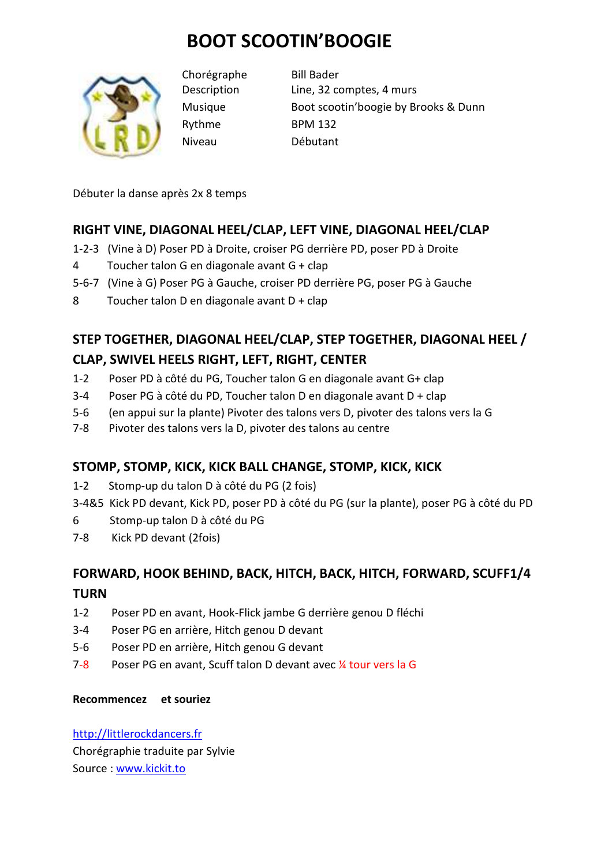# **BOOT SCOOTIN'BOOGIE**



Chorégraphe Bill Bader Rythme BPM 132 Niveau Débutant

Description Line, 32 comptes, 4 murs Musique Boot scootin'boogie by Brooks & Dunn

Débuter la danse après 2x 8 temps

### **RIGHT VINE, DIAGONAL HEEL/CLAP, LEFT VINE, DIAGONAL HEEL/CLAP**

- 1-2-3 (Vine à D) Poser PD à Droite, croiser PG derrière PD, poser PD à Droite
- 4 Toucher talon G en diagonale avant G + clap
- 5-6-7 (Vine à G) Poser PG à Gauche, croiser PD derrière PG, poser PG à Gauche
- 8 Toucher talon D en diagonale avant  $D + c \log \theta$

## **STEP TOGETHER, DIAGONAL HEEL/CLAP, STEP TOGETHER, DIAGONAL HEEL / CLAP, SWIVEL HEELS RIGHT, LEFT, RIGHT, CENTER**

- 1-2 Poser PD à côté du PG, Toucher talon G en diagonale avant G+ clap
- 3-4 Poser PG à côté du PD, Toucher talon D en diagonale avant D + clap
- 5-6 (en appui sur la plante) Pivoter des talons vers D, pivoter des talons vers la G
- 7-8 Pivoter des talons vers la D, pivoter des talons au centre

### **STOMP, STOMP, KICK, KICK BALL CHANGE, STOMP, KICK, KICK**

- 1-2 Stomp-up du talon D à côté du PG (2 fois)
- 3-4&5 Kick PD devant, Kick PD, poser PD à côté du PG (sur la plante), poser PG à côté du PD
- 6 Stomp-up talon D à côté du PG
- 7-8 Kick PD devant (2fois)

### **FORWARD, HOOK BEHIND, BACK, HITCH, BACK, HITCH, FORWARD, SCUFF1/4 TURN**

- 1-2 Poser PD en avant, Hook-Flick jambe G derrière genou D fléchi
- 3-4 Poser PG en arrière, Hitch genou D devant
- 5-6 Poser PD en arrière, Hitch genou G devant
- 7-8 Poser PG en avant, Scuff talon D devant avec  $\frac{1}{4}$  tour vers la G

#### **Recommencez et souriez**

http://littlerockdancers.fr Chorégraphie traduite par Sylvie Source : www.kickit.to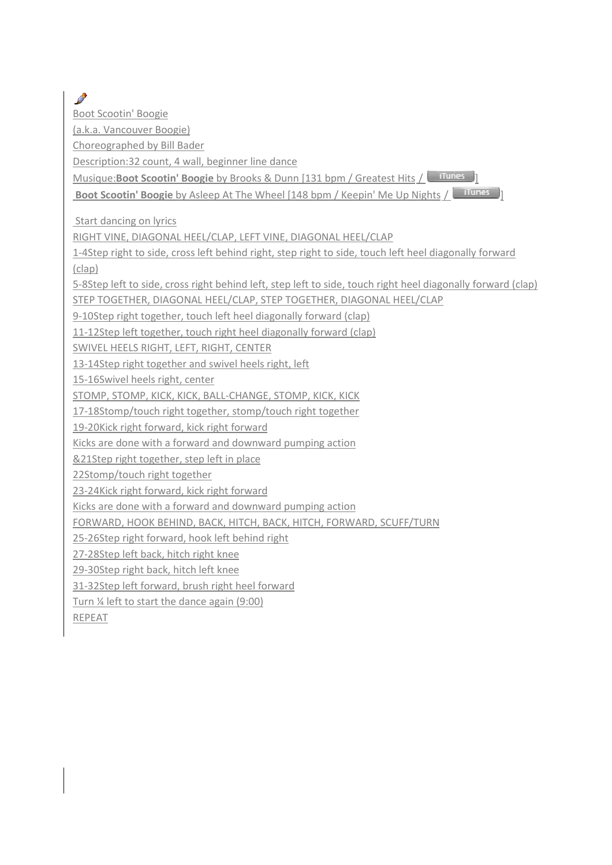Boot Scootin' Boogie

P

(a.k.a. Vancouver Boogie)

Choreographed by Bill Bader

Description:32 count, 4 wall, beginner line dance

Musique:**Boot Scootin' Boogie** by Brooks & Dunn [131 bpm / Greatest Hits / **IIIIIIIIIII** 

**Boot Scootin' Boogie** by Asleep At The Wheel [148 bpm / Keepin' Me Up Nights /  $\frac{$  **illunes** 

Start dancing on lyrics

RIGHT VINE, DIAGONAL HEEL/CLAP, LEFT VINE, DIAGONAL HEEL/CLAP

1-4Step right to side, cross left behind right, step right to side, touch left heel diagonally forward (clap)

5-8Step left to side, cross right behind left, step left to side, touch right heel diagonally forward (clap)

STEP TOGETHER, DIAGONAL HEEL/CLAP, STEP TOGETHER, DIAGONAL HEEL/CLAP

9-10Step right together, touch left heel diagonally forward (clap)

11-12Step left together, touch right heel diagonally forward (clap)

SWIVEL HEELS RIGHT, LEFT, RIGHT, CENTER

13-14Step right together and swivel heels right, left

15-16Swivel heels right, center

STOMP, STOMP, KICK, KICK, BALL-CHANGE, STOMP, KICK, KICK

17-18Stomp/touch right together, stomp/touch right together

19-20Kick right forward, kick right forward

Kicks are done with a forward and downward pumping action

&21Step right together, step left in place

22Stomp/touch right together

23-24Kick right forward, kick right forward

Kicks are done with a forward and downward pumping action

FORWARD, HOOK BEHIND, BACK, HITCH, BACK, HITCH, FORWARD, SCUFF/TURN

25-26Step right forward, hook left behind right

27-28Step left back, hitch right knee

29-30Step right back, hitch left knee

31-32Step left forward, brush right heel forward

Turn ¼ left to start the dance again (9:00)

REPEAT